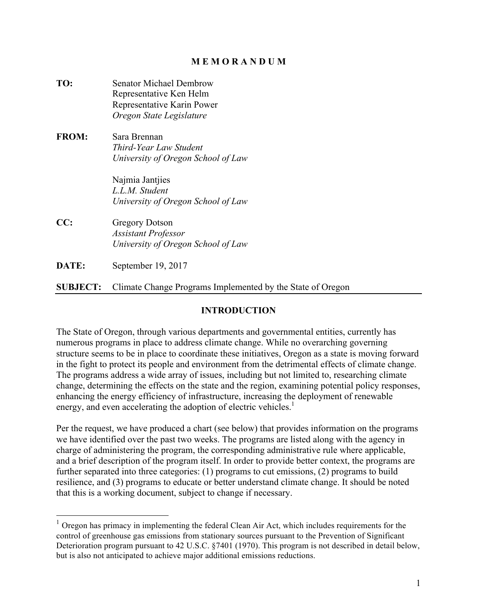## **M E M O R A N D U M**

**TO:** Senator Michael Dembrow Representative Ken Helm Representative Karin Power *Oregon State Legislature* **FROM:** Sara Brennan *Third-Year Law Student University of Oregon School of Law* Najmia Jantjies *L.L.M. Student University of Oregon School of Law* **CC:** Gregory Dotson *Assistant Professor University of Oregon School of Law* **DATE:** September 19, 2017

**SUBJECT:** Climate Change Programs Implemented by the State of Oregon

## **INTRODUCTION**

The State of Oregon, through various departments and governmental entities, currently has numerous programs in place to address climate change. While no overarching governing structure seems to be in place to coordinate these initiatives, Oregon as a state is moving forward in the fight to protect its people and environment from the detrimental effects of climate change. The programs address a wide array of issues, including but not limited to, researching climate change, determining the effects on the state and the region, examining potential policy responses, enhancing the energy efficiency of infrastructure, increasing the deployment of renewable energy, and even accelerating the adoption of electric vehicles.<sup>1</sup>

Per the request, we have produced a chart (see below) that provides information on the programs we have identified over the past two weeks. The programs are listed along with the agency in charge of administering the program, the corresponding administrative rule where applicable, and a brief description of the program itself. In order to provide better context, the programs are further separated into three categories: (1) programs to cut emissions, (2) programs to build resilience, and (3) programs to educate or better understand climate change. It should be noted that this is a working document, subject to change if necessary.

 $1$  Oregon has primacy in implementing the federal Clean Air Act, which includes requirements for the control of greenhouse gas emissions from stationary sources pursuant to the Prevention of Significant Deterioration program pursuant to 42 U.S.C. §7401 (1970). This program is not described in detail below, but is also not anticipated to achieve major additional emissions reductions.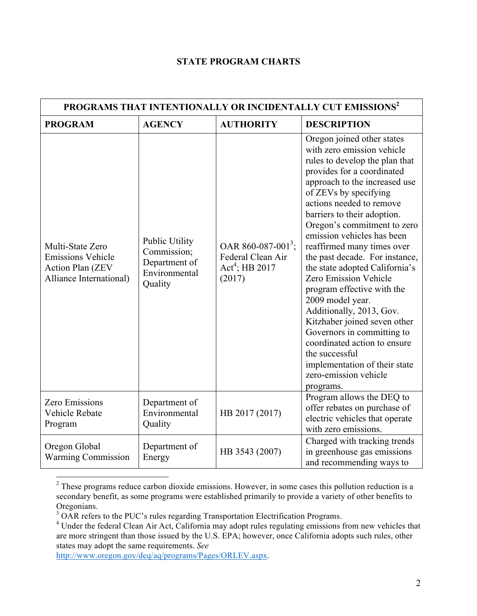## **STATE PROGRAM CHARTS**

| PROGRAMS THAT INTENTIONALLY OR INCIDENTALLY CUT EMISSIONS <sup>2</sup>                             |                                                                                   |                                                                                   |                                                                                                                                                                                                                                                                                                                                                                                                                                                                                                                                                                                                                                                                                                            |
|----------------------------------------------------------------------------------------------------|-----------------------------------------------------------------------------------|-----------------------------------------------------------------------------------|------------------------------------------------------------------------------------------------------------------------------------------------------------------------------------------------------------------------------------------------------------------------------------------------------------------------------------------------------------------------------------------------------------------------------------------------------------------------------------------------------------------------------------------------------------------------------------------------------------------------------------------------------------------------------------------------------------|
| <b>PROGRAM</b>                                                                                     | <b>AGENCY</b>                                                                     | <b>AUTHORITY</b>                                                                  | <b>DESCRIPTION</b>                                                                                                                                                                                                                                                                                                                                                                                                                                                                                                                                                                                                                                                                                         |
| Multi-State Zero<br><b>Emissions Vehicle</b><br><b>Action Plan (ZEV</b><br>Alliance International) | <b>Public Utility</b><br>Commission;<br>Department of<br>Environmental<br>Quality | OAR 860-087-001 <sup>3</sup> ;<br>Federal Clean Air<br>$Act4$ ; HB 2017<br>(2017) | Oregon joined other states<br>with zero emission vehicle<br>rules to develop the plan that<br>provides for a coordinated<br>approach to the increased use<br>of ZEVs by specifying<br>actions needed to remove<br>barriers to their adoption.<br>Oregon's commitment to zero<br>emission vehicles has been<br>reaffirmed many times over<br>the past decade. For instance,<br>the state adopted California's<br>Zero Emission Vehicle<br>program effective with the<br>2009 model year.<br>Additionally, 2013, Gov.<br>Kitzhaber joined seven other<br>Governors in committing to<br>coordinated action to ensure<br>the successful<br>implementation of their state<br>zero-emission vehicle<br>programs. |
| <b>Zero Emissions</b><br>Vehicle Rebate<br>Program                                                 | Department of<br>Environmental<br>Quality                                         | HB 2017 (2017)                                                                    | Program allows the DEQ to<br>offer rebates on purchase of<br>electric vehicles that operate<br>with zero emissions.                                                                                                                                                                                                                                                                                                                                                                                                                                                                                                                                                                                        |
| Oregon Global<br><b>Warming Commission</b>                                                         | Department of<br>Energy                                                           | HB 3543 (2007)                                                                    | Charged with tracking trends<br>in greenhouse gas emissions<br>and recommending ways to                                                                                                                                                                                                                                                                                                                                                                                                                                                                                                                                                                                                                    |

<sup>&</sup>lt;sup>2</sup> These programs reduce carbon dioxide emissions. However, in some cases this pollution reduction is a secondary benefit, as some programs were established primarily to provide a variety of other benefits to Oregonians.<br><sup>3</sup> OAR refers to the PUC's rules regarding Transportation Electrification Programs.

http://www.oregon.gov/deq/aq/programs/Pages/ORLEV.aspx.

<sup>&</sup>lt;sup>4</sup> Under the federal Clean Air Act, California may adopt rules regulating emissions from new vehicles that are more stringent than those issued by the U.S. EPA; however, once California adopts such rules, other states may adopt the same requirements. *See*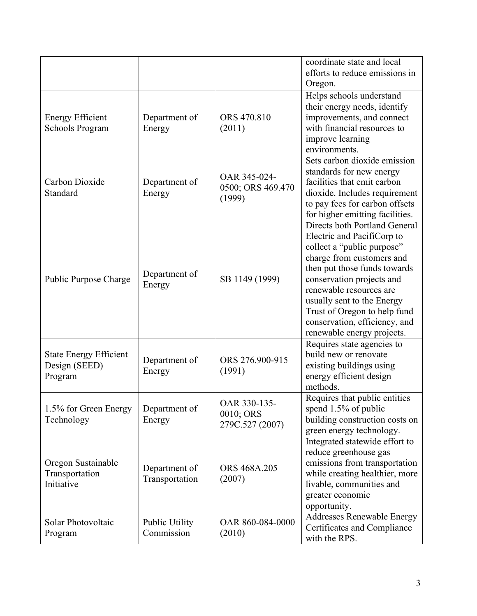|                                                           |                                     |                                              | coordinate state and local<br>efforts to reduce emissions in<br>Oregon.                                                                                                                                                                                                                                                                     |
|-----------------------------------------------------------|-------------------------------------|----------------------------------------------|---------------------------------------------------------------------------------------------------------------------------------------------------------------------------------------------------------------------------------------------------------------------------------------------------------------------------------------------|
| <b>Energy Efficient</b><br><b>Schools Program</b>         | Department of<br>Energy             | ORS 470.810<br>(2011)                        | Helps schools understand<br>their energy needs, identify<br>improvements, and connect<br>with financial resources to<br>improve learning<br>environments.                                                                                                                                                                                   |
| Carbon Dioxide<br>Standard                                | Department of<br>Energy             | OAR 345-024-<br>0500; ORS 469.470<br>(1999)  | Sets carbon dioxide emission<br>standards for new energy<br>facilities that emit carbon<br>dioxide. Includes requirement<br>to pay fees for carbon offsets<br>for higher emitting facilities.                                                                                                                                               |
| Public Purpose Charge                                     | Department of<br>Energy             | SB 1149 (1999)                               | Directs both Portland General<br>Electric and PacifiCorp to<br>collect a "public purpose"<br>charge from customers and<br>then put those funds towards<br>conservation projects and<br>renewable resources are<br>usually sent to the Energy<br>Trust of Oregon to help fund<br>conservation, efficiency, and<br>renewable energy projects. |
| <b>State Energy Efficient</b><br>Design (SEED)<br>Program | Department of<br>Energy             | ORS 276.900-915<br>(1991)                    | Requires state agencies to<br>build new or renovate<br>existing buildings using<br>energy efficient design<br>methods.                                                                                                                                                                                                                      |
| 1.5% for Green Energy<br>Technology                       | Department of<br>Energy             | OAR 330-135-<br>0010; ORS<br>279C.527 (2007) | Requires that public entities<br>spend 1.5% of public<br>building construction costs on<br>green energy technology.                                                                                                                                                                                                                         |
| Oregon Sustainable<br>Transportation<br>Initiative        | Department of<br>Transportation     | ORS 468A.205<br>(2007)                       | Integrated statewide effort to<br>reduce greenhouse gas<br>emissions from transportation<br>while creating healthier, more<br>livable, communities and<br>greater economic<br>opportunity.                                                                                                                                                  |
| Solar Photovoltaic<br>Program                             | <b>Public Utility</b><br>Commission | OAR 860-084-0000<br>(2010)                   | <b>Addresses Renewable Energy</b><br>Certificates and Compliance<br>with the RPS.                                                                                                                                                                                                                                                           |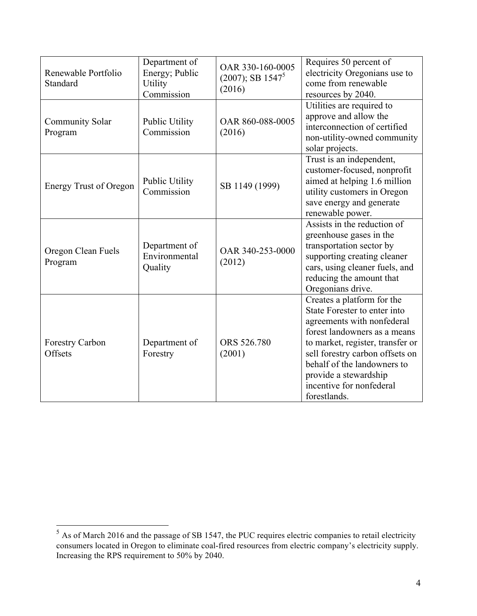| Renewable Portfolio<br>Standard   | Department of<br>Energy; Public<br>Utility<br>Commission | OAR 330-160-0005<br>$(2007)$ ; SB 1547 <sup>5</sup><br>(2016) | Requires 50 percent of<br>electricity Oregonians use to<br>come from renewable<br>resources by 2040.                                                                                                                                                                                                |
|-----------------------------------|----------------------------------------------------------|---------------------------------------------------------------|-----------------------------------------------------------------------------------------------------------------------------------------------------------------------------------------------------------------------------------------------------------------------------------------------------|
| <b>Community Solar</b><br>Program | Public Utility<br>Commission                             | OAR 860-088-0005<br>(2016)                                    | Utilities are required to<br>approve and allow the<br>interconnection of certified<br>non-utility-owned community<br>solar projects.                                                                                                                                                                |
| <b>Energy Trust of Oregon</b>     | <b>Public Utility</b><br>Commission                      | SB 1149 (1999)                                                | Trust is an independent,<br>customer-focused, nonprofit<br>aimed at helping 1.6 million<br>utility customers in Oregon<br>save energy and generate<br>renewable power.                                                                                                                              |
| Oregon Clean Fuels<br>Program     | Department of<br>Environmental<br>Quality                | OAR 340-253-0000<br>(2012)                                    | Assists in the reduction of<br>greenhouse gases in the<br>transportation sector by<br>supporting creating cleaner<br>cars, using cleaner fuels, and<br>reducing the amount that<br>Oregonians drive.                                                                                                |
| <b>Forestry Carbon</b><br>Offsets | Department of<br>Forestry                                | ORS 526.780<br>(2001)                                         | Creates a platform for the<br>State Forester to enter into<br>agreements with nonfederal<br>forest landowners as a means<br>to market, register, transfer or<br>sell forestry carbon offsets on<br>behalf of the landowners to<br>provide a stewardship<br>incentive for nonfederal<br>forestlands. |

 $\frac{5}{5}$  As of March 2016 and the passage of SB 1547, the PUC requires electric companies to retail electricity consumers located in Oregon to eliminate coal-fired resources from electric company's electricity supply. Increasing the RPS requirement to 50% by 2040.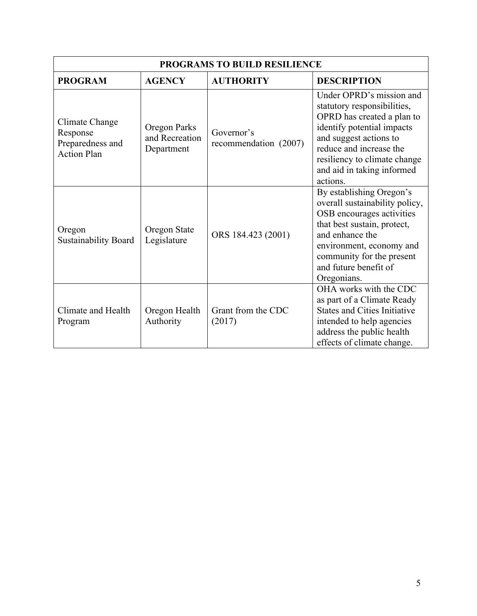| PROGRAMS TO BUILD RESILIENCE                                         |                                              |                                     |                                                                                                                                                                                                                                                    |
|----------------------------------------------------------------------|----------------------------------------------|-------------------------------------|----------------------------------------------------------------------------------------------------------------------------------------------------------------------------------------------------------------------------------------------------|
| <b>PROGRAM</b>                                                       | <b>AGENCY</b>                                | <b>AUTHORITY</b>                    | <b>DESCRIPTION</b>                                                                                                                                                                                                                                 |
| Climate Change<br>Response<br>Preparedness and<br><b>Action Plan</b> | Oregon Parks<br>and Recreation<br>Department | Governor's<br>recommendation (2007) | Under OPRD's mission and<br>statutory responsibilities,<br>OPRD has created a plan to<br>identify potential impacts<br>and suggest actions to<br>reduce and increase the<br>resiliency to climate change<br>and aid in taking informed<br>actions. |
| Oregon<br><b>Sustainability Board</b>                                | Oregon State<br>Legislature                  | ORS 184.423 (2001)                  | By establishing Oregon's<br>overall sustainability policy,<br>OSB encourages activities<br>that best sustain, protect,<br>and enhance the<br>environment, economy and<br>community for the present<br>and future benefit of<br>Oregonians.         |
| Climate and Health<br>Program                                        | Oregon Health<br>Authority                   | Grant from the CDC<br>(2017)        | OHA works with the CDC<br>as part of a Climate Ready<br><b>States and Cities Initiative</b><br>intended to help agencies<br>address the public health<br>effects of climate change.                                                                |